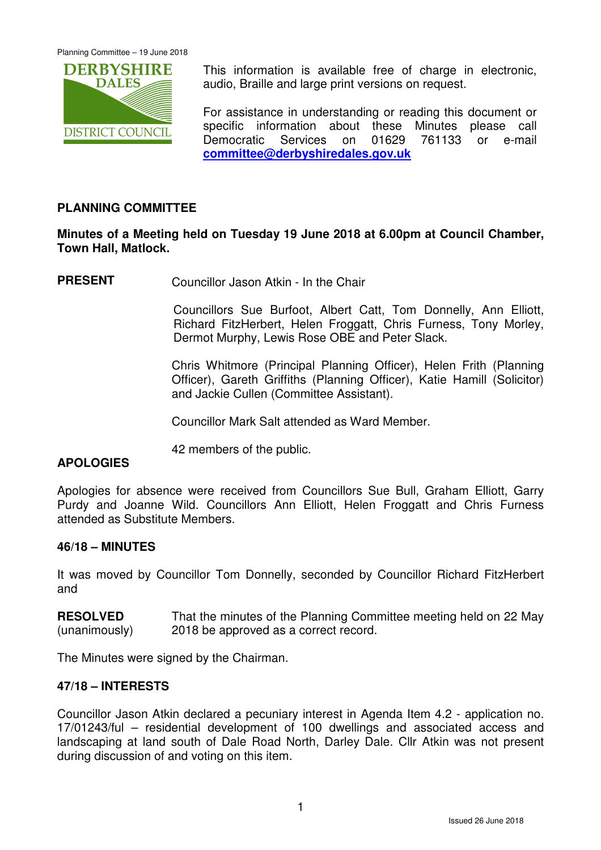

This information is available free of charge in electronic, audio, Braille and large print versions on request.

For assistance in understanding or reading this document or specific information about these Minutes please call Democratic Services on 01629 761133 or e-mail **committee@derbyshiredales.gov.uk**

# **PLANNING COMMITTEE**

# **Minutes of a Meeting held on Tuesday 19 June 2018 at 6.00pm at Council Chamber, Town Hall, Matlock.**

**PRESENT** Councillor Jason Atkin - In the Chair

 Councillors Sue Burfoot, Albert Catt, Tom Donnelly, Ann Elliott, Richard FitzHerbert, Helen Froggatt, Chris Furness, Tony Morley, Dermot Murphy, Lewis Rose OBE and Peter Slack.

Chris Whitmore (Principal Planning Officer), Helen Frith (Planning Officer), Gareth Griffiths (Planning Officer), Katie Hamill (Solicitor) and Jackie Cullen (Committee Assistant).

Councillor Mark Salt attended as Ward Member.

42 members of the public.

## **APOLOGIES**

Apologies for absence were received from Councillors Sue Bull, Graham Elliott, Garry Purdy and Joanne Wild. Councillors Ann Elliott, Helen Froggatt and Chris Furness attended as Substitute Members.

### **46/18 – MINUTES**

It was moved by Councillor Tom Donnelly, seconded by Councillor Richard FitzHerbert and

**RESOLVED** (unanimously) That the minutes of the Planning Committee meeting held on 22 May 2018 be approved as a correct record.

The Minutes were signed by the Chairman.

## **47/18 – INTERESTS**

Councillor Jason Atkin declared a pecuniary interest in Agenda Item 4.2 - application no. 17/01243/ful – residential development of 100 dwellings and associated access and landscaping at land south of Dale Road North, Darley Dale. Cllr Atkin was not present during discussion of and voting on this item.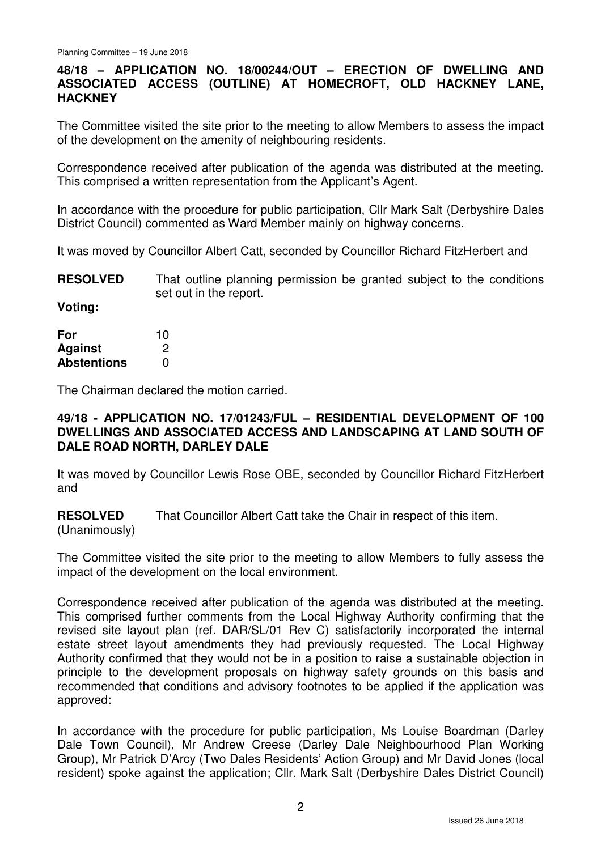# **48/18 – APPLICATION NO. 18/00244/OUT – ERECTION OF DWELLING AND ASSOCIATED ACCESS (OUTLINE) AT HOMECROFT, OLD HACKNEY LANE, HACKNEY**

The Committee visited the site prior to the meeting to allow Members to assess the impact of the development on the amenity of neighbouring residents.

Correspondence received after publication of the agenda was distributed at the meeting. This comprised a written representation from the Applicant's Agent.

In accordance with the procedure for public participation, Cllr Mark Salt (Derbyshire Dales District Council) commented as Ward Member mainly on highway concerns.

It was moved by Councillor Albert Catt, seconded by Councillor Richard FitzHerbert and

**RESOLVED** That outline planning permission be granted subject to the conditions set out in the report.

**Voting:** 

| For                | 10 |
|--------------------|----|
| Against            | 2  |
| <b>Abstentions</b> | O  |

The Chairman declared the motion carried.

# **49/18 - APPLICATION NO. 17/01243/FUL – RESIDENTIAL DEVELOPMENT OF 100 DWELLINGS AND ASSOCIATED ACCESS AND LANDSCAPING AT LAND SOUTH OF DALE ROAD NORTH, DARLEY DALE**

It was moved by Councillor Lewis Rose OBE, seconded by Councillor Richard FitzHerbert and

**RESOLVED** That Councillor Albert Catt take the Chair in respect of this item.

(Unanimously)

The Committee visited the site prior to the meeting to allow Members to fully assess the impact of the development on the local environment.

Correspondence received after publication of the agenda was distributed at the meeting. This comprised further comments from the Local Highway Authority confirming that the revised site layout plan (ref. DAR/SL/01 Rev C) satisfactorily incorporated the internal estate street layout amendments they had previously requested. The Local Highway Authority confirmed that they would not be in a position to raise a sustainable objection in principle to the development proposals on highway safety grounds on this basis and recommended that conditions and advisory footnotes to be applied if the application was approved:

In accordance with the procedure for public participation, Ms Louise Boardman (Darley Dale Town Council), Mr Andrew Creese (Darley Dale Neighbourhood Plan Working Group), Mr Patrick D'Arcy (Two Dales Residents' Action Group) and Mr David Jones (local resident) spoke against the application; Cllr. Mark Salt (Derbyshire Dales District Council)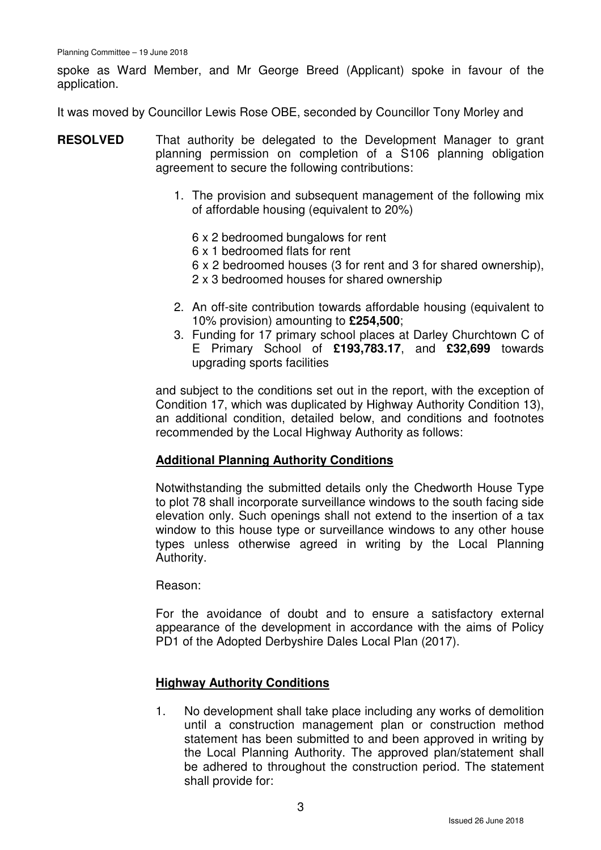spoke as Ward Member, and Mr George Breed (Applicant) spoke in favour of the application.

It was moved by Councillor Lewis Rose OBE, seconded by Councillor Tony Morley and

- **RESOLVED** That authority be delegated to the Development Manager to grant planning permission on completion of a S106 planning obligation agreement to secure the following contributions:
	- 1. The provision and subsequent management of the following mix of affordable housing (equivalent to 20%)
		- 6 x 2 bedroomed bungalows for rent
		- 6 x 1 bedroomed flats for rent
		- 6 x 2 bedroomed houses (3 for rent and 3 for shared ownership),
		- 2 x 3 bedroomed houses for shared ownership
	- 2. An off-site contribution towards affordable housing (equivalent to 10% provision) amounting to **£254,500**;
	- 3. Funding for 17 primary school places at Darley Churchtown C of E Primary School of **£193,783.17**, and **£32,699** towards upgrading sports facilities

and subject to the conditions set out in the report, with the exception of Condition 17, which was duplicated by Highway Authority Condition 13), an additional condition, detailed below, and conditions and footnotes recommended by the Local Highway Authority as follows:

## **Additional Planning Authority Conditions**

Notwithstanding the submitted details only the Chedworth House Type to plot 78 shall incorporate surveillance windows to the south facing side elevation only. Such openings shall not extend to the insertion of a tax window to this house type or surveillance windows to any other house types unless otherwise agreed in writing by the Local Planning Authority.

Reason:

For the avoidance of doubt and to ensure a satisfactory external appearance of the development in accordance with the aims of Policy PD1 of the Adopted Derbyshire Dales Local Plan (2017).

## **Highway Authority Conditions**

1. No development shall take place including any works of demolition until a construction management plan or construction method statement has been submitted to and been approved in writing by the Local Planning Authority. The approved plan/statement shall be adhered to throughout the construction period. The statement shall provide for: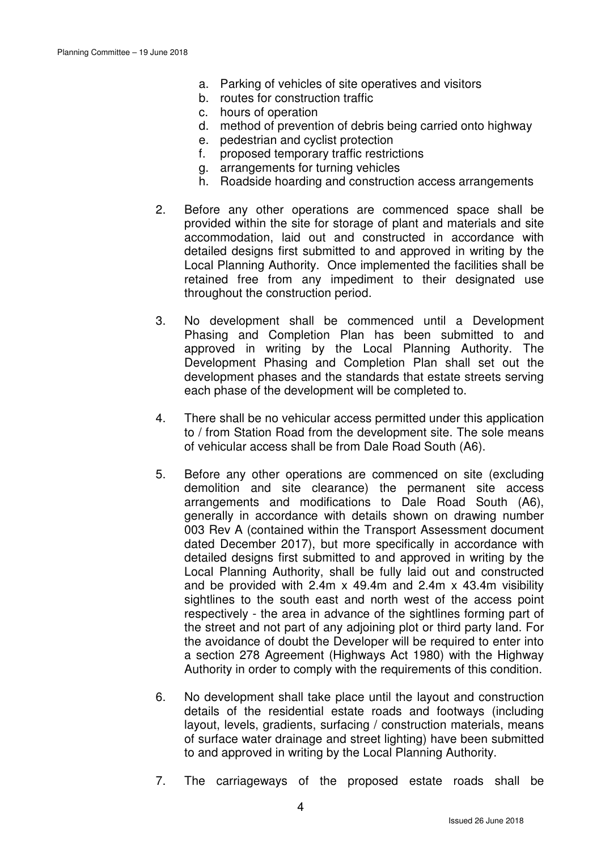- a. Parking of vehicles of site operatives and visitors
- b. routes for construction traffic
- c. hours of operation
- d. method of prevention of debris being carried onto highway
- e. pedestrian and cyclist protection
- f. proposed temporary traffic restrictions
- g. arrangements for turning vehicles
- h. Roadside hoarding and construction access arrangements
- 2. Before any other operations are commenced space shall be provided within the site for storage of plant and materials and site accommodation, laid out and constructed in accordance with detailed designs first submitted to and approved in writing by the Local Planning Authority. Once implemented the facilities shall be retained free from any impediment to their designated use throughout the construction period.
- 3. No development shall be commenced until a Development Phasing and Completion Plan has been submitted to and approved in writing by the Local Planning Authority. The Development Phasing and Completion Plan shall set out the development phases and the standards that estate streets serving each phase of the development will be completed to.
- 4. There shall be no vehicular access permitted under this application to / from Station Road from the development site. The sole means of vehicular access shall be from Dale Road South (A6).
- 5. Before any other operations are commenced on site (excluding demolition and site clearance) the permanent site access arrangements and modifications to Dale Road South (A6), generally in accordance with details shown on drawing number 003 Rev A (contained within the Transport Assessment document dated December 2017), but more specifically in accordance with detailed designs first submitted to and approved in writing by the Local Planning Authority, shall be fully laid out and constructed and be provided with  $2.4m \times 49.4m$  and  $2.4m \times 43.4m$  visibility sightlines to the south east and north west of the access point respectively - the area in advance of the sightlines forming part of the street and not part of any adjoining plot or third party land. For the avoidance of doubt the Developer will be required to enter into a section 278 Agreement (Highways Act 1980) with the Highway Authority in order to comply with the requirements of this condition.
- 6. No development shall take place until the layout and construction details of the residential estate roads and footways (including layout, levels, gradients, surfacing / construction materials, means of surface water drainage and street lighting) have been submitted to and approved in writing by the Local Planning Authority.
- 7. The carriageways of the proposed estate roads shall be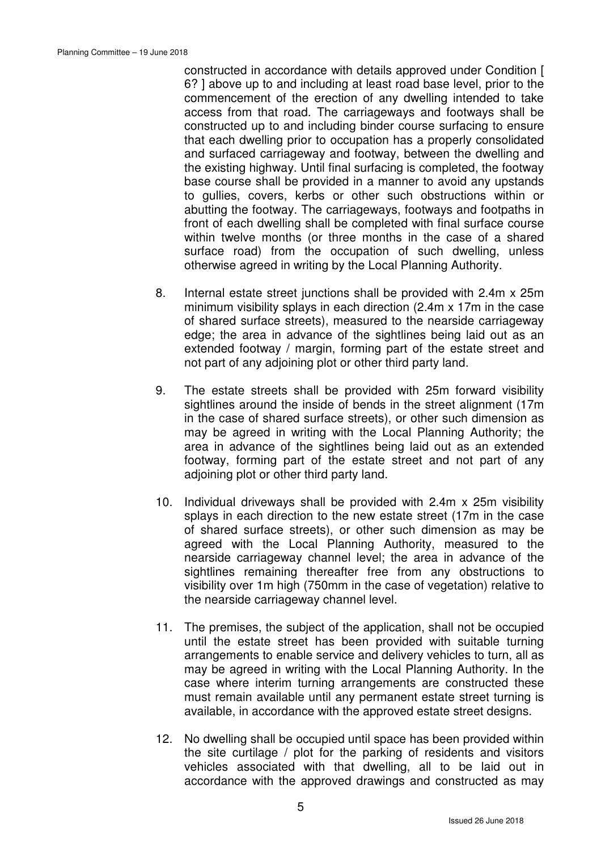constructed in accordance with details approved under Condition [ 6? ] above up to and including at least road base level, prior to the commencement of the erection of any dwelling intended to take access from that road. The carriageways and footways shall be constructed up to and including binder course surfacing to ensure that each dwelling prior to occupation has a properly consolidated and surfaced carriageway and footway, between the dwelling and the existing highway. Until final surfacing is completed, the footway base course shall be provided in a manner to avoid any upstands to gullies, covers, kerbs or other such obstructions within or abutting the footway. The carriageways, footways and footpaths in front of each dwelling shall be completed with final surface course within twelve months (or three months in the case of a shared surface road) from the occupation of such dwelling, unless otherwise agreed in writing by the Local Planning Authority.

- 8. Internal estate street junctions shall be provided with 2.4m x 25m minimum visibility splays in each direction (2.4m x 17m in the case of shared surface streets), measured to the nearside carriageway edge; the area in advance of the sightlines being laid out as an extended footway / margin, forming part of the estate street and not part of any adjoining plot or other third party land.
- 9. The estate streets shall be provided with 25m forward visibility sightlines around the inside of bends in the street alignment (17m in the case of shared surface streets), or other such dimension as may be agreed in writing with the Local Planning Authority; the area in advance of the sightlines being laid out as an extended footway, forming part of the estate street and not part of any adjoining plot or other third party land.
- 10. Individual driveways shall be provided with 2.4m x 25m visibility splays in each direction to the new estate street (17m in the case of shared surface streets), or other such dimension as may be agreed with the Local Planning Authority, measured to the nearside carriageway channel level; the area in advance of the sightlines remaining thereafter free from any obstructions to visibility over 1m high (750mm in the case of vegetation) relative to the nearside carriageway channel level.
- 11. The premises, the subject of the application, shall not be occupied until the estate street has been provided with suitable turning arrangements to enable service and delivery vehicles to turn, all as may be agreed in writing with the Local Planning Authority. In the case where interim turning arrangements are constructed these must remain available until any permanent estate street turning is available, in accordance with the approved estate street designs.
- 12. No dwelling shall be occupied until space has been provided within the site curtilage / plot for the parking of residents and visitors vehicles associated with that dwelling, all to be laid out in accordance with the approved drawings and constructed as may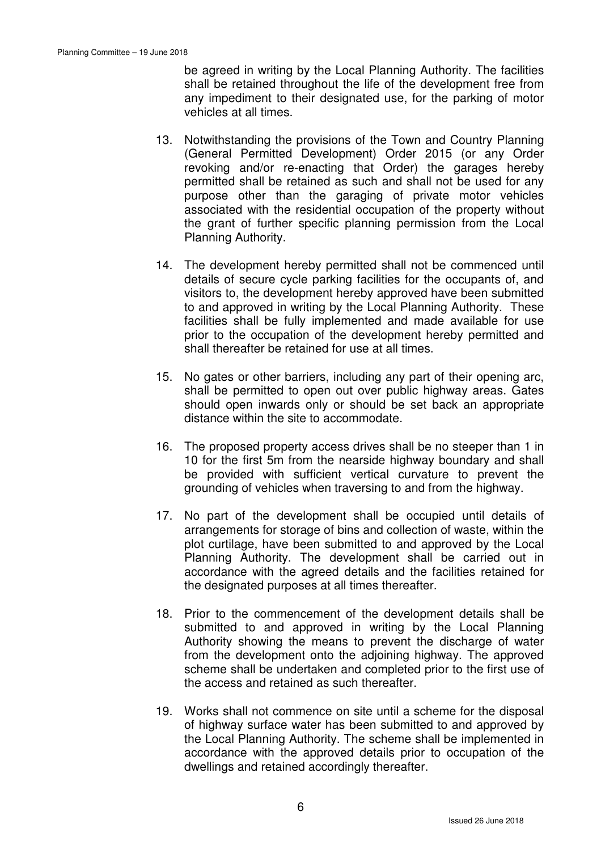be agreed in writing by the Local Planning Authority. The facilities shall be retained throughout the life of the development free from any impediment to their designated use, for the parking of motor vehicles at all times.

- 13. Notwithstanding the provisions of the Town and Country Planning (General Permitted Development) Order 2015 (or any Order revoking and/or re-enacting that Order) the garages hereby permitted shall be retained as such and shall not be used for any purpose other than the garaging of private motor vehicles associated with the residential occupation of the property without the grant of further specific planning permission from the Local Planning Authority.
- 14. The development hereby permitted shall not be commenced until details of secure cycle parking facilities for the occupants of, and visitors to, the development hereby approved have been submitted to and approved in writing by the Local Planning Authority. These facilities shall be fully implemented and made available for use prior to the occupation of the development hereby permitted and shall thereafter be retained for use at all times.
- 15. No gates or other barriers, including any part of their opening arc, shall be permitted to open out over public highway areas. Gates should open inwards only or should be set back an appropriate distance within the site to accommodate.
- 16. The proposed property access drives shall be no steeper than 1 in 10 for the first 5m from the nearside highway boundary and shall be provided with sufficient vertical curvature to prevent the grounding of vehicles when traversing to and from the highway.
- 17. No part of the development shall be occupied until details of arrangements for storage of bins and collection of waste, within the plot curtilage, have been submitted to and approved by the Local Planning Authority. The development shall be carried out in accordance with the agreed details and the facilities retained for the designated purposes at all times thereafter.
- 18. Prior to the commencement of the development details shall be submitted to and approved in writing by the Local Planning Authority showing the means to prevent the discharge of water from the development onto the adjoining highway. The approved scheme shall be undertaken and completed prior to the first use of the access and retained as such thereafter.
- 19. Works shall not commence on site until a scheme for the disposal of highway surface water has been submitted to and approved by the Local Planning Authority. The scheme shall be implemented in accordance with the approved details prior to occupation of the dwellings and retained accordingly thereafter.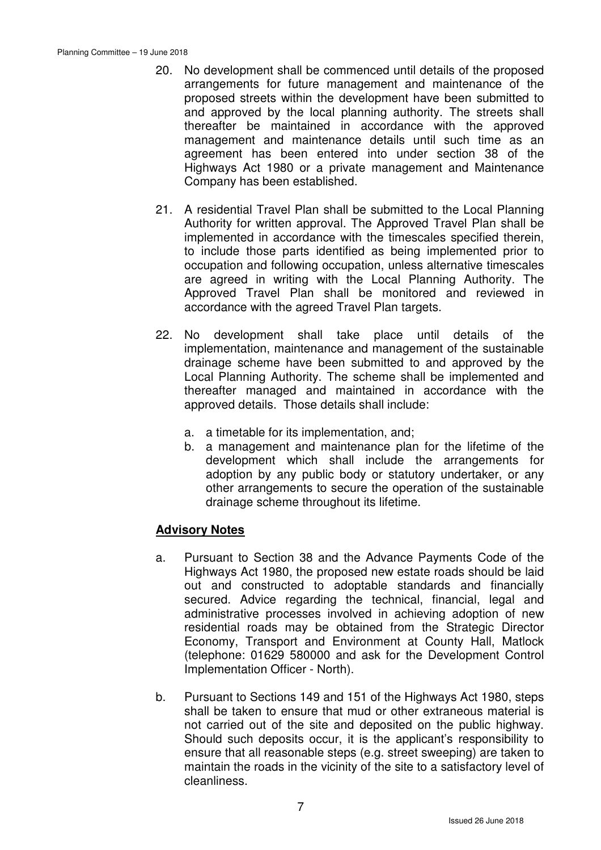- 20. No development shall be commenced until details of the proposed arrangements for future management and maintenance of the proposed streets within the development have been submitted to and approved by the local planning authority. The streets shall thereafter be maintained in accordance with the approved management and maintenance details until such time as an agreement has been entered into under section 38 of the Highways Act 1980 or a private management and Maintenance Company has been established.
- 21. A residential Travel Plan shall be submitted to the Local Planning Authority for written approval. The Approved Travel Plan shall be implemented in accordance with the timescales specified therein, to include those parts identified as being implemented prior to occupation and following occupation, unless alternative timescales are agreed in writing with the Local Planning Authority. The Approved Travel Plan shall be monitored and reviewed in accordance with the agreed Travel Plan targets.
- 22. No development shall take place until details of the implementation, maintenance and management of the sustainable drainage scheme have been submitted to and approved by the Local Planning Authority. The scheme shall be implemented and thereafter managed and maintained in accordance with the approved details. Those details shall include:
	- a. a timetable for its implementation, and;
	- b. a management and maintenance plan for the lifetime of the development which shall include the arrangements for adoption by any public body or statutory undertaker, or any other arrangements to secure the operation of the sustainable drainage scheme throughout its lifetime.

# **Advisory Notes**

- a. Pursuant to Section 38 and the Advance Payments Code of the Highways Act 1980, the proposed new estate roads should be laid out and constructed to adoptable standards and financially secured. Advice regarding the technical, financial, legal and administrative processes involved in achieving adoption of new residential roads may be obtained from the Strategic Director Economy, Transport and Environment at County Hall, Matlock (telephone: 01629 580000 and ask for the Development Control Implementation Officer - North).
- b. Pursuant to Sections 149 and 151 of the Highways Act 1980, steps shall be taken to ensure that mud or other extraneous material is not carried out of the site and deposited on the public highway. Should such deposits occur, it is the applicant's responsibility to ensure that all reasonable steps (e.g. street sweeping) are taken to maintain the roads in the vicinity of the site to a satisfactory level of cleanliness.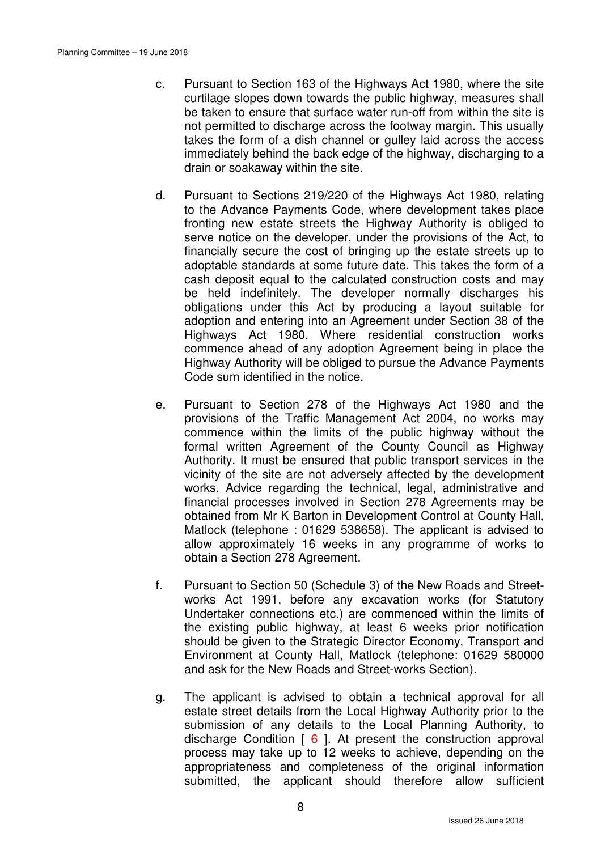- c. Pursuant to Section 163 of the Highways Act 1980, where the site curtilage slopes down towards the public highway, measures shall be taken to ensure that surface water run-off from within the site is not permitted to discharge across the footway margin. This usually takes the form of a dish channel or gulley laid across the access immediately behind the back edge of the highway, discharging to a drain or soakaway within the site.
- d. Pursuant to Sections 219/220 of the Highways Act 1980, relating to the Advance Payments Code, where development takes place fronting new estate streets the Highway Authority is obliged to serve notice on the developer, under the provisions of the Act, to financially secure the cost of bringing up the estate streets up to adoptable standards at some future date. This takes the form of a cash deposit equal to the calculated construction costs and may be held indefinitely. The developer normally discharges his obligations under this Act by producing a layout suitable for adoption and entering into an Agreement under Section 38 of the Highways Act 1980. Where residential construction works commence ahead of any adoption Agreement being in place the Highway Authority will be obliged to pursue the Advance Payments Code sum identified in the notice.
- e. Pursuant to Section 278 of the Highways Act 1980 and the provisions of the Traffic Management Act 2004, no works may commence within the limits of the public highway without the formal written Agreement of the County Council as Highway Authority. It must be ensured that public transport services in the vicinity of the site are not adversely affected by the development works. Advice regarding the technical, legal, administrative and financial processes involved in Section 278 Agreements may be obtained from Mr K Barton in Development Control at County Hall, Matlock (telephone : 01629 538658). The applicant is advised to allow approximately 16 weeks in any programme of works to obtain a Section 278 Agreement.
- f. Pursuant to Section 50 (Schedule 3) of the New Roads and Streetworks Act 1991, before any excavation works (for Statutory Undertaker connections etc.) are commenced within the limits of the existing public highway, at least 6 weeks prior notification should be given to the Strategic Director Economy, Transport and Environment at County Hall, Matlock (telephone: 01629 580000 and ask for the New Roads and Street-works Section).
- g. The applicant is advised to obtain a technical approval for all estate street details from the Local Highway Authority prior to the submission of any details to the Local Planning Authority, to discharge Condition  $\begin{bmatrix} 6 \end{bmatrix}$ . At present the construction approval process may take up to 12 weeks to achieve, depending on the appropriateness and completeness of the original information submitted, the applicant should therefore allow sufficient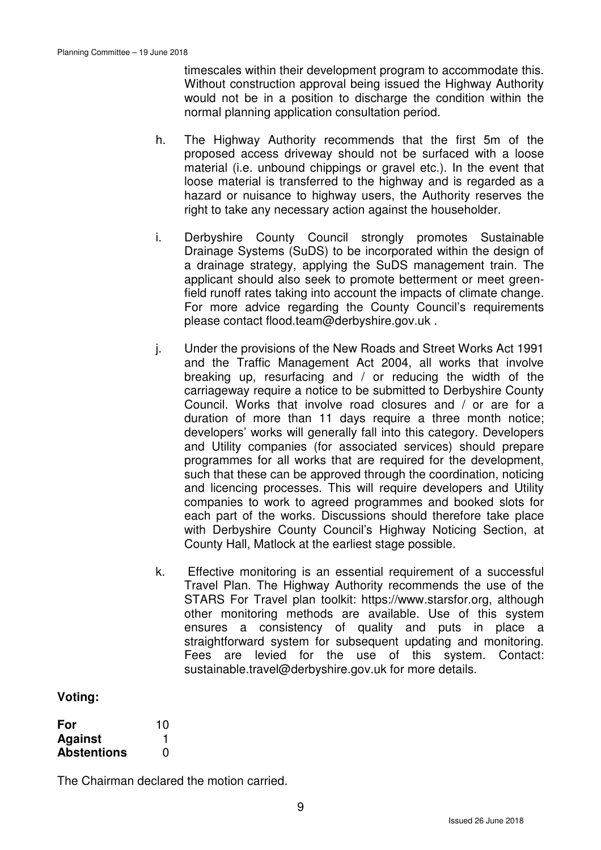timescales within their development program to accommodate this. Without construction approval being issued the Highway Authority would not be in a position to discharge the condition within the normal planning application consultation period.

- h. The Highway Authority recommends that the first 5m of the proposed access driveway should not be surfaced with a loose material (i.e. unbound chippings or gravel etc.). In the event that loose material is transferred to the highway and is regarded as a hazard or nuisance to highway users, the Authority reserves the right to take any necessary action against the householder.
- i. Derbyshire County Council strongly promotes Sustainable Drainage Systems (SuDS) to be incorporated within the design of a drainage strategy, applying the SuDS management train. The applicant should also seek to promote betterment or meet greenfield runoff rates taking into account the impacts of climate change. For more advice regarding the County Council's requirements please contact flood.team@derbyshire.gov.uk .
- j. Under the provisions of the New Roads and Street Works Act 1991 and the Traffic Management Act 2004, all works that involve breaking up, resurfacing and / or reducing the width of the carriageway require a notice to be submitted to Derbyshire County Council. Works that involve road closures and / or are for a duration of more than 11 days require a three month notice; developers' works will generally fall into this category. Developers and Utility companies (for associated services) should prepare programmes for all works that are required for the development, such that these can be approved through the coordination, noticing and licencing processes. This will require developers and Utility companies to work to agreed programmes and booked slots for each part of the works. Discussions should therefore take place with Derbyshire County Council's Highway Noticing Section, at County Hall, Matlock at the earliest stage possible.
- k. Effective monitoring is an essential requirement of a successful Travel Plan. The Highway Authority recommends the use of the STARS For Travel plan toolkit: https://www.starsfor.org, although other monitoring methods are available. Use of this system ensures a consistency of quality and puts in place a straightforward system for subsequent updating and monitoring. Fees are levied for the use of this system. Contact: sustainable.travel@derbyshire.gov.uk for more details.

## **Voting:**

| For                | 10 |
|--------------------|----|
| <b>Against</b>     |    |
| <b>Abstentions</b> | O  |

The Chairman declared the motion carried.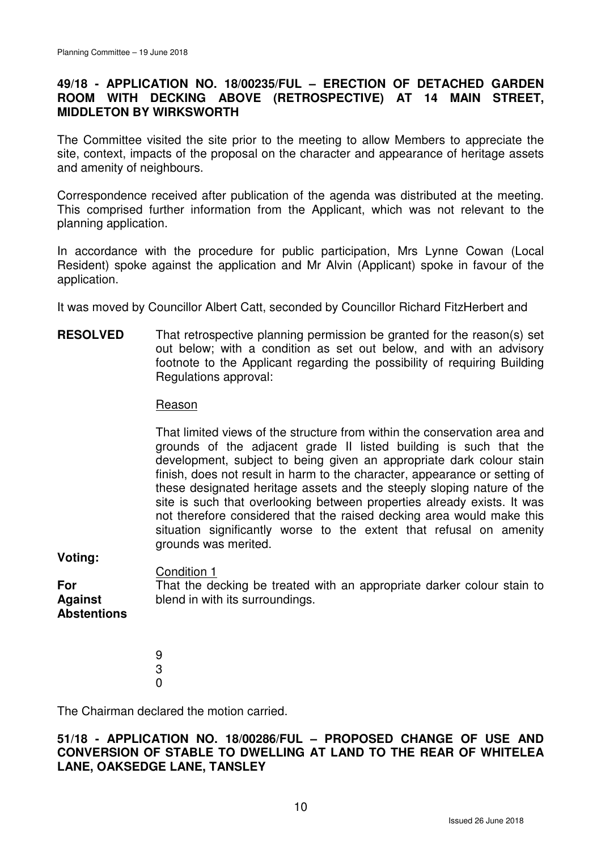# **49/18 - APPLICATION NO. 18/00235/FUL – ERECTION OF DETACHED GARDEN ROOM WITH DECKING ABOVE (RETROSPECTIVE) AT 14 MAIN STREET, MIDDLETON BY WIRKSWORTH**

The Committee visited the site prior to the meeting to allow Members to appreciate the site, context, impacts of the proposal on the character and appearance of heritage assets and amenity of neighbours.

Correspondence received after publication of the agenda was distributed at the meeting. This comprised further information from the Applicant, which was not relevant to the planning application.

In accordance with the procedure for public participation, Mrs Lynne Cowan (Local Resident) spoke against the application and Mr Alvin (Applicant) spoke in favour of the application.

It was moved by Councillor Albert Catt, seconded by Councillor Richard FitzHerbert and

**RESOLVED** That retrospective planning permission be granted for the reason(s) set out below; with a condition as set out below, and with an advisory footnote to the Applicant regarding the possibility of requiring Building Regulations approval:

#### Reason

That limited views of the structure from within the conservation area and grounds of the adjacent grade II listed building is such that the development, subject to being given an appropriate dark colour stain finish, does not result in harm to the character, appearance or setting of these designated heritage assets and the steeply sloping nature of the site is such that overlooking between properties already exists. It was not therefore considered that the raised decking area would make this situation significantly worse to the extent that refusal on amenity grounds was merited.

**Voting:** 

Condition 1

That the decking be treated with an appropriate darker colour stain to blend in with its surroundings.

**For Against Abstentions** 

> 9 3  $\Omega$

The Chairman declared the motion carried.

# **51/18 - APPLICATION NO. 18/00286/FUL – PROPOSED CHANGE OF USE AND CONVERSION OF STABLE TO DWELLING AT LAND TO THE REAR OF WHITELEA LANE, OAKSEDGE LANE, TANSLEY**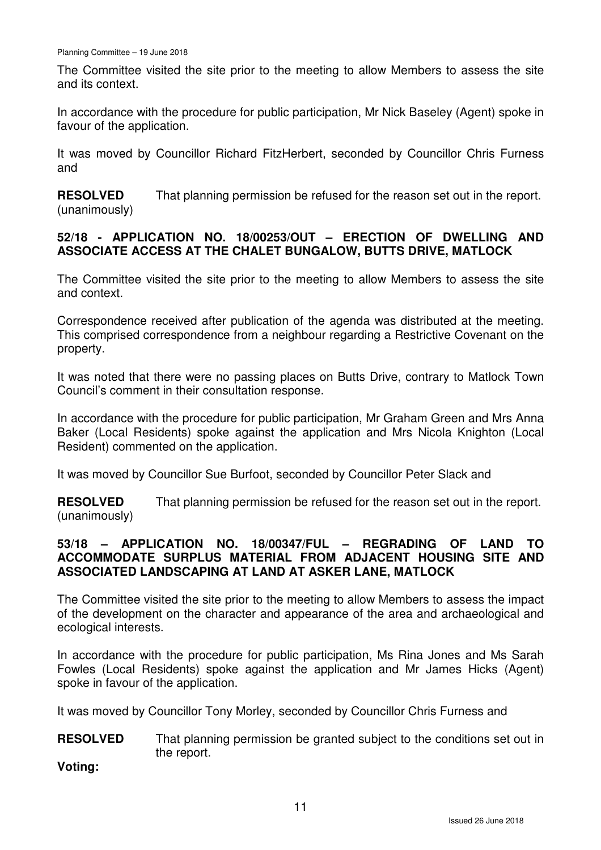The Committee visited the site prior to the meeting to allow Members to assess the site and its context.

In accordance with the procedure for public participation, Mr Nick Baseley (Agent) spoke in favour of the application.

It was moved by Councillor Richard FitzHerbert, seconded by Councillor Chris Furness and

**RESOLVED** (unanimously) That planning permission be refused for the reason set out in the report.

# **52/18 - APPLICATION NO. 18/00253/OUT – ERECTION OF DWELLING AND ASSOCIATE ACCESS AT THE CHALET BUNGALOW, BUTTS DRIVE, MATLOCK**

The Committee visited the site prior to the meeting to allow Members to assess the site and context.

Correspondence received after publication of the agenda was distributed at the meeting. This comprised correspondence from a neighbour regarding a Restrictive Covenant on the property.

It was noted that there were no passing places on Butts Drive, contrary to Matlock Town Council's comment in their consultation response.

In accordance with the procedure for public participation, Mr Graham Green and Mrs Anna Baker (Local Residents) spoke against the application and Mrs Nicola Knighton (Local Resident) commented on the application.

It was moved by Councillor Sue Burfoot, seconded by Councillor Peter Slack and

**RESOLVED** (unanimously) That planning permission be refused for the reason set out in the report.

# **53/18 – APPLICATION NO. 18/00347/FUL – REGRADING OF LAND TO ACCOMMODATE SURPLUS MATERIAL FROM ADJACENT HOUSING SITE AND ASSOCIATED LANDSCAPING AT LAND AT ASKER LANE, MATLOCK**

The Committee visited the site prior to the meeting to allow Members to assess the impact of the development on the character and appearance of the area and archaeological and ecological interests.

In accordance with the procedure for public participation, Ms Rina Jones and Ms Sarah Fowles (Local Residents) spoke against the application and Mr James Hicks (Agent) spoke in favour of the application.

It was moved by Councillor Tony Morley, seconded by Councillor Chris Furness and

**RESOLVED** That planning permission be granted subject to the conditions set out in the report.

**Voting:**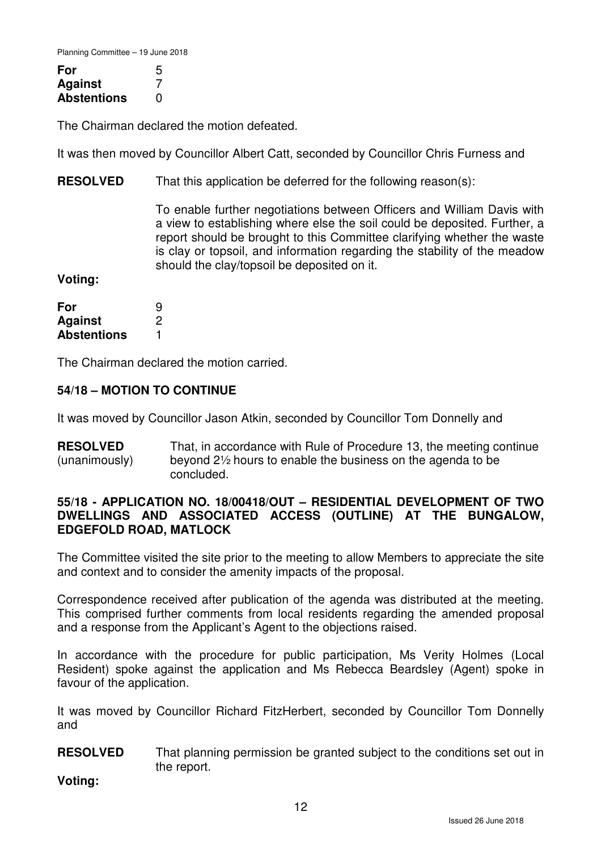Planning Committee – 19 June 2018

| For                | 5 |
|--------------------|---|
| <b>Against</b>     |   |
| <b>Abstentions</b> | O |

The Chairman declared the motion defeated.

It was then moved by Councillor Albert Catt, seconded by Councillor Chris Furness and

**RESOLVED** That this application be deferred for the following reason(s):

> To enable further negotiations between Officers and William Davis with a view to establishing where else the soil could be deposited. Further, a report should be brought to this Committee clarifying whether the waste is clay or topsoil, and information regarding the stability of the meadow should the clay/topsoil be deposited on it.

**Voting:** 

| For                | 9 |
|--------------------|---|
| <b>Against</b>     | 2 |
| <b>Abstentions</b> |   |

The Chairman declared the motion carried.

## **54/18 – MOTION TO CONTINUE**

It was moved by Councillor Jason Atkin, seconded by Councillor Tom Donnelly and

**RESOLVED** (unanimously) That, in accordance with Rule of Procedure 13, the meeting continue beyond 2½ hours to enable the business on the agenda to be concluded.

## **55/18 - APPLICATION NO. 18/00418/OUT – RESIDENTIAL DEVELOPMENT OF TWO DWELLINGS AND ASSOCIATED ACCESS (OUTLINE) AT THE BUNGALOW, EDGEFOLD ROAD, MATLOCK**

The Committee visited the site prior to the meeting to allow Members to appreciate the site and context and to consider the amenity impacts of the proposal.

Correspondence received after publication of the agenda was distributed at the meeting. This comprised further comments from local residents regarding the amended proposal and a response from the Applicant's Agent to the objections raised.

In accordance with the procedure for public participation, Ms Verity Holmes (Local Resident) spoke against the application and Ms Rebecca Beardsley (Agent) spoke in favour of the application.

It was moved by Councillor Richard FitzHerbert, seconded by Councillor Tom Donnelly and

**RESOLVED** That planning permission be granted subject to the conditions set out in the report.

**Voting:**